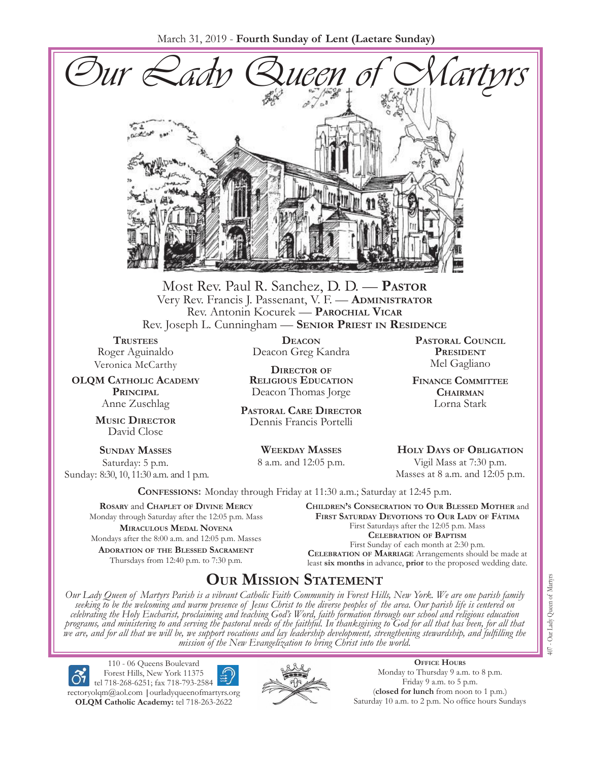March 31, 2019 - **Fourth Sunday of Lent (Laetare Sunday)**



Most Rev. Paul R. Sanchez, D. D. — **Pastor** Very Rev. Francis J. Passenant, V. F. — **Administrator** Rev. Antonin Kocurek — **Parochial Vicar** Rev. Joseph L. Cunningham — **Senior Priest in Residence**

**TRUSTEES** Roger Aguinaldo Veronica McCarthy

**OLQM Catholic Academy Principal** Anne Zuschlag

> **Music Director** David Close

**Sunday Masses** Saturday: 5 p.m. Sunday: 8:30, 10, 11:30 a.m. and 1 p.m.

**Deacon** Deacon Greg Kandra

**Director of Religious Education** Deacon Thomas Jorge

**Pastoral Care Director** Dennis Francis Portelli

> **Weekday Masses** 8 a.m. and 12:05 p.m.

**Pastoral Council** PRESIDENT Mel Gagliano

**Finance Committee Chairman** Lorna Stark

**Holy Days of Obligation** Vigil Mass at 7:30 p.m. Masses at 8 a.m. and 12:05 p.m.

**Confessions:** Monday through Friday at 11:30 a.m.; Saturday at 12:45 p.m.

**Rosary** and **Chaplet of Divine Mercy** Monday through Saturday after the 12:05 p.m. Mass **Miraculous Medal Novena** Mondays after the 8:00 a.m. and 12:05 p.m. Masses **Adoration of the Blessed Sacrament** Thursdays from 12:40 p.m. to 7:30 p.m.

**Children's Consecration to Our Blessed Mother** and **First Saturday Devotions to Our Lady of Fátima** First Saturdays after the 12:05 p.m. Mass **Celebration of Baptism** First Sunday of each month at 2:30 p.m. **Celebration of Marriage** Arrangements should be made at least **six months** in advance, **prior** to the proposed wedding date.

# **Our Mission Statement**

Our Lady Queen of Martyrs Parish is a vibrant Catholic Faith Community in Forest Hills, New York. We are one parish family<br>seeking to be the welcoming and warm presence of Jesus Christ to the diverse peoples of the area. O *celebrating the Holy Eucharist, proclaiming and teaching God's Word, faith formation through our school and religious education*  programs, and ministering to and serving the pastoral needs of the faithful. In thanksgiving to God for all that has been, for all that<br>we are, and for all that we will be, we support vocations and lay leadership developme *mission of the New Evangelization to bring Christ into the world.*

110 - 06 Queens Boulevard Forest Hills, New York 11375 tel 718-268-6251; fax 718-793-2584 [rectoryolqm@aol.com](mailto:rectoryolqm@aol.com) **|**[ourladyqueenofmartyrs.org](www.ourladyqueenofmartyrs.org) **OLQM Catholic Academy:** tel 718-263-2622



**Office Hours** Monday to Thursday 9 a.m. to 8 p.m. Friday 9 a.m. to 5 p.m. (**closed for lunch** from noon to 1 p.m.) Saturday 10 a.m. to 2 p.m. No office hours Sundays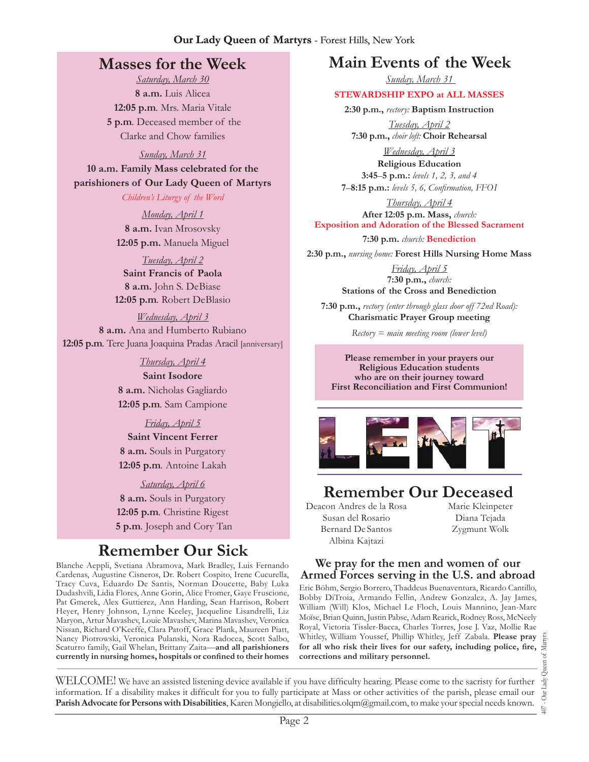### **Our Lady Queen of Martyrs** - Forest Hills, New York

### **Masses for the Week**

*Saturday, March 30*  **8 a.m.** Luis Alicea **12:05 p.m***.* Mrs. Maria Vitale **5 p.m***.* Deceased member of the Clarke and Chow families

*Sunday, March 31* 

**10 a.m. Family Mass celebrated for the parishioners of Our Lady Queen of Martyrs**

*Children's Liturgy of the Word* 

*Monday, April 1*  **8 a.m.** Ivan Mrosovsky **12:05 p.m.** Manuela Miguel

*Tuesday, April 2*  **Saint Francis of Paola 8 a.m.** John S. DeBiase **12:05 p.m***.* Robert DeBlasio

*Wednesday, April 3* **8 a.m.** Ana and Humberto Rubiano **12:05 p.m***.* Tere Juana Joaquina Pradas Aracil [anniversary]

### *Thursday, April 4*

**Saint Isodore 8 a.m.** Nicholas Gagliardo **12:05 p.m***.* Sam Campione

*Friday, April 5* 

**Saint Vincent Ferrer 8 a.m.** Souls in Purgatory **12:05 p.m***.* Antoine Lakah

*Saturday, April 6*  **8 a.m.** Souls in Purgatory **12:05 p.m***.* Christine Rigest **5 p.m***.* Joseph and Cory Tan

# **Remember Our Sick**

Blanche Aeppli, Svetiana Abramova, Mark Bradley, Luis Fernando Cardenas, Augustine Cisneros, Dr. Robert Cospito, Irene Cucurella, Tracy Cuva, Eduardo De Santis, Norman Doucette, Baby Luka Dudashvili, Lidia Flores, Anne Gorin, Alice Fromer, Gaye Fruscione, Pat Gmerek, Alex Guttierez, Ann Harding, Sean Harrison, Robert Heyer, Henry Johnson, Lynne Keeley, Jacqueline Lisandrelli, Liz Maryon, Artur Mavashev, Louie Mavashev, Marina Mavashev, Veronica Nissan, Richard O'Keeffe, Clara Patoff, Grace Plank, Maureen Piatt, Nancy Piotrowski, Veronica Pulanski, Nora Radocea, Scott Salbo, Scaturro family, Gail Whelan, Brittany Zaita—**and all parishioners currently in nursing homes, hospitals or confined to their homes**

# **Main Events of the Week**

*Sunday, March 31* 

### **Stewardship Expo at All Masses**

**2:30 p.m.,** *rectory:* **Baptism Instruction** *Tuesday, April 2* 

**7:30 p.m.,** *choir loft:* **Choir Rehearsal**

*Wednesday, April 3*  **Religious Education 3:45**–**5 p.m.:** *levels 1, 2, 3, and 4* 

**7**–**8:15 p.m.:** *levels 5, 6, Confirmation, FFO  I*

*Thursday, April 4*  **After 12:05 p.m. Mass,** *church:*  **Exposition and Adoration of the Blessed Sacrament**

**7:30 p.m.** *church:* **Benediction** 

**2:30 p.m.,** *nursing home:* **Forest Hills Nursing Home Mass**

*Friday, April 5*  **7:30 p.m.,** *church:* **Stations of the Cross and Benediction**

**7:30 p.m.,** *rectory (enter through glass door off 72nd Road):* **Charismatic Prayer Group meeting**

*Rectory = main meeting room (lower level)*

**Please remember in your prayers our Religious Education students who are on their journey toward First Reconciliation and First Communion!**



# **Remember Our Deceased**

Deacon Andres de la Rosa Susan del Rosario Bernard De Santos Albina Kajtazi

Marie Kleinpeter Diana Tejada Zygmunt Wolk

### **We pray for the men and women of our Armed Forces serving in the U.S. and abroad**

Eric Böhm, Sergio Borrero, Thaddeus Buenaventura, Ricardo Cantillo, Bobby DiTroia, Armando Fellin, Andrew Gonzalez, A. Jay James, William (Will) Klos, Michael Le Floch, Louis Mannino, Jean-Marc Moïse, Brian Quinn, Justin Pabse, Adam Rearick, Rodney Ross, McNeely Royal, Victoria Tissler-Bacca, Charles Torres, Jose J. Vaz, Mollie Rae Whitley, William Youssef, Phillip Whitley, Jeff Zabala. **Please pray for all who risk their lives for our safety, including police, fire, corrections and military personnel.**

WELCOME! We have an assisted listening device available if you have difficulty hearing. Please come to the sacristy for further information. If a disability makes it difficult for you to fully participate at Mass or other activities of the parish, please email our **Parish Advocate for Persons with Disabilities**, Karen Mongiello, at [disabilities.olqm@gmail.com](mailto:disabilities.olqm@gmail.com), to make your special needs known.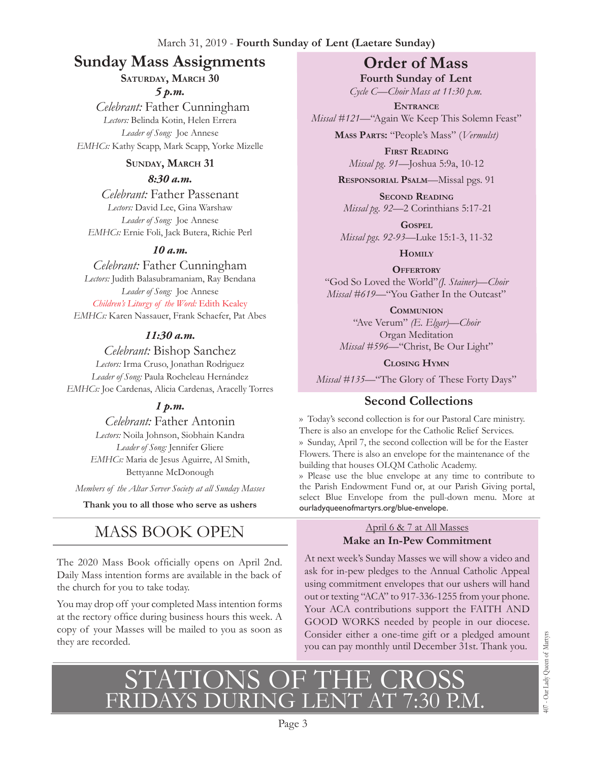# **Sunday Mass Assignments Order of Mass**

### **Saturday, March 30**

*5 p.m.* 

 *Celebrant:* Father Cunningham *Lectors:* Belinda Kotin, Helen Errera *Leader of Song:* Joe Annese *EMHCs:* Kathy Scapp, Mark Scapp, Yorke Mizelle

### SUNDAY, MARCH 31

### *8:30 a.m.*

*Celebrant:* Father Passenant *Lectors:* David Lee, Gina Warshaw *Leader of Song:* Joe Annese *EMHCs:* Ernie Foli, Jack Butera, Richie Perl

### *10 a.m.*

### *Celebrant:* Father Cunningham

*Lectors:* Judith Balasubramaniam, Ray Bendana *Leader of Song:* Joe Annese *Children's Liturgy of the Word:* Edith Kealey *EMHCs:* Karen Nassauer, Frank Schaefer, Pat Abes

### *11:30 a.m.*

*Celebrant:* Bishop Sanchez *Lectors:* Irma Cruso, Jonathan Rodriguez *Leader of Song:* Paula Rocheleau Hernández *EMHCs:* Joe Cardenas, Alicia Cardenas, Aracelly Torres

### *1 p.m.*

*Celebrant:* Father Antonin *Lectors:* Noila Johnson, Siobhain Kandra *Leader of Song:* Jennifer Gliere *EMHCs:* Maria de Jesus Aguirre, Al Smith, Bettyanne McDonough

*Members of the Altar Server Society at all Sunday Masses*

**Thank you to all those who serve as ushers**

# MASS BOOK OPEN

The 2020 Mass Book officially opens on April 2nd. Daily Mass intention forms are available in the back of the church for you to take today.

You may drop off your completed Mass intention forms at the rectory office during business hours this week. A copy of your Masses will be mailed to you as soon as they are recorded.

**Fourth Sunday of Lent**  *Cycle C—Choir Mass at 11:30 p.m.* 

**Entrance** *Missal #121—*"Again We Keep This Solemn Feast"

**Mass Parts:** "People's Mass" (*Vermulst)*

**First Reading** *Missal pg. 91—*Joshua 5:9a, 10-12

**Responsorial Psalm**—Missal pgs. 91

**Second Reading** *Missal pg. 92—*2 Corinthians 5:17-21

**Gospel** *Missal pgs. 92-93—*Luke 15:1-3, 11-32

**Homily**

**Offertory** "God So Loved the World"*(J. Stainer)—Choir Missal #619—*"You Gather In the Outcast"

**Communion** "Ave Verum" *(E. Elgar)—Choir* Organ Meditation *Missal #596—*"Christ, Be Our Light"

**Closing Hymn**

*Missal #135—*"The Glory of These Forty Days"

# **Second Collections**

›› Today's second collection is for our Pastoral Care ministry. There is also an envelope for the Catholic Relief Services. ›› Sunday, April 7, the second collection will be for the Easter Flowers. There is also an envelope for the maintenance of the building that houses OLQM Catholic Academy.

›› Please use the blue envelope at any time to contribute to the Parish Endowment Fund or, at our Parish Giving portal, select Blue Envelope from the pull-down menu. More at ourladyqueenofmartyrs.org/blue-envelope.

# April 6 & 7 at All Masses

### **Make an In-Pew Commitment**

At next week's Sunday Masses we will show a video and ask for in-pew pledges to the Annual Catholic Appeal using commitment envelopes that our ushers will hand out or texting "ACA" to 917-336-1255 from your phone. Your ACA contributions support the FAITH AND GOOD WORKS needed by people in our diocese. Consider either a one-time gift or a pledged amount you can pay monthly until December 31st. Thank you.

# STATIONS OF THE CROSS<br>FRIDAYS DURING LENT AT 7:30 P.M.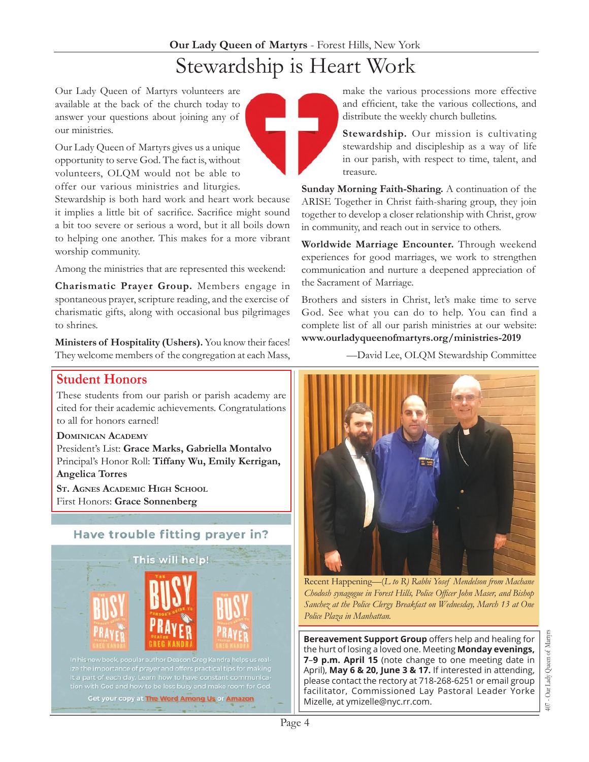Our Lady Queen of Martyrs volunteers are available at the back of the church today to answer your questions about joining any of our ministries.

Our Lady Queen of Martyrs gives us a unique opportunity to serve God. The fact is, without volunteers, OLQM would not be able to offer our various ministries and liturgies.

Stewardship is both hard work and heart work because it implies a little bit of sacrifice. Sacrifice might sound a bit too severe or serious a word, but it all boils down to helping one another. This makes for a more vibrant worship community.

Among the ministries that are represented this weekend:

**Charismatic Prayer Group.** Members engage in spontaneous prayer, scripture reading, and the exercise of charismatic gifts, along with occasional bus pilgrimages to shrines.

**Ministers of Hospitality (Ushers).** You know their faces! They welcome members of the congregation at each Mass,

### **Student Honors**

These students from our parish or parish academy are cited for their academic achievements. Congratulations to all for honors earned!

**Dominican Academy**

President's List: **Grace Marks, Gabriella Montalvo** Principal's Honor Roll: **Tiffany Wu, Emily Kerrigan, Angelica Torres** 

**St. Agnes Academic High School** First Honors: **Grace Sonnenberg**

### Have trouble fitting prayer in?



In his new book, popular author Deacon Greg Kandra helps us realize the importance of prayer and offers practical tips for making it a part of each day. Learn how to have constant communica-

Get your copy at The Word Among Us or Amazon

make the various processions more effective and efficient, take the various collections, and distribute the weekly church bulletins.

**Stewardship.** Our mission is cultivating stewardship and discipleship as a way of life in our parish, with respect to time, talent, and treasure.

**Sunday Morning Faith-Sharing.** A continuation of the ARISE Together in Christ faith-sharing group, they join together to develop a closer relationship with Christ, grow in community, and reach out in service to others.

**Worldwide Marriage Encounter.** Through weekend experiences for good marriages, we work to strengthen communication and nurture a deepened appreciation of the Sacrament of Marriage.

Brothers and sisters in Christ, let's make time to serve God. See what you can do to help. You can find a complete list of all our parish ministries at our website: **<www.ourladyqueenofmartyrs.org/ministries>-2019**

—David Lee, OLQM Stewardship Committee



Recent Happening—(*L to R) Rabbi Yosef Mendelson from Machane Chodosh synagogue in Forest Hills, Police Officer John Maser, and Bishop Sanchez at the Police Clergy Breakfast on Wednesday, March 13 at One Police Plaza in Manhattan.*

**Bereavement Support Group** offers help and healing for the hurt of losing a loved one. Meeting **Monday evenings, 7**–**9 p.m. April 15** (note change to one meeting date in April), **May 6 & 20, June 3 & 17.** If interested in attending, please contact the rectory at 718-268-6251 or email group facilitator, Commissioned Lay Pastoral Leader Yorke Mizelle, at [ymizelle@nyc.rr.com.](mailto:ymizelle@nyc.rr.com)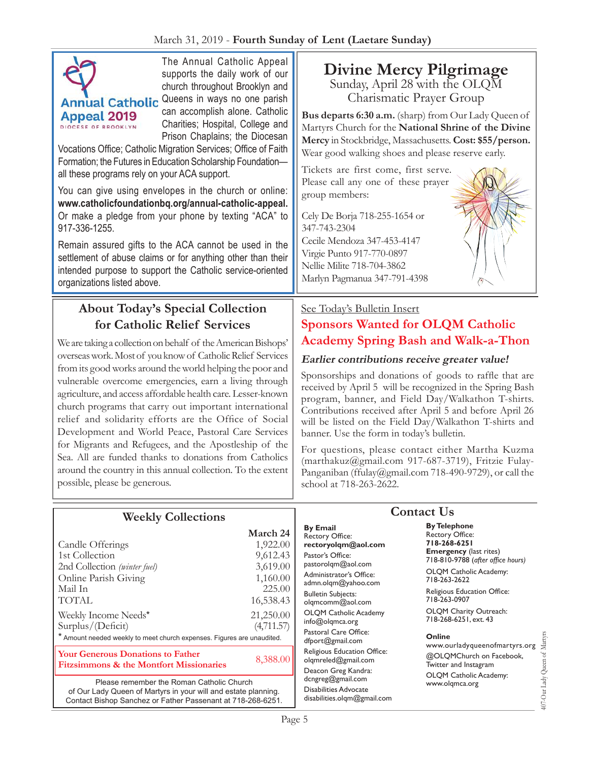

The Annual Catholic Appeal supports the daily work of our church throughout Brooklyn and ual Catholic Queens in ways no one parish can accomplish alone. Catholic Charities; Hospital, College and Prison Chaplains; the Diocesan

Vocations Office; Catholic Migration Services; Office of Faith Formation; the Futures in Education Scholarship Foundation all these programs rely on your ACA support.

You can give using envelopes in the church or online: **[www.catholicfoundationbq.org/annual-](www.catholicfoundationbq.org/annual)catholic-appeal.** Or make a pledge from your phone by texting "ACA" to 917-336-1255.

Remain assured gifts to the ACA cannot be used in the settlement of abuse claims or for anything other than their intended purpose to support the Catholic service-oriented organizations listed above.

## **About Today's Special Collection for Catholic Relief Services**

We are taking a collection on behalf of the American Bishops' overseas work. Most of you know of Catholic Relief Services from its good works around the world helping the poor and vulnerable overcome emergencies, earn a living through agriculture, and access affordable health care. Lesser-known church programs that carry out important international relief and solidarity efforts are the Office of Social Development and World Peace, Pastoral Care Services for Migrants and Refugees, and the Apostleship of the Sea. All are funded thanks to donations from Catholics around the country in this annual collection. To the extent possible, please be generous.

**Divine Mercy Pilgrimage**  Sunday, April 28 with the OLQM

Charismatic Prayer Group

**Bus departs 6:30 a.m.** (sharp) from Our Lady Queen of Martyrs Church for the **National Shrine of the Divine Mercy** in Stockbridge, Massachusetts. **Cost: \$55/person.**  Wear good walking shoes and please reserve early.

Tickets are first come, first serve. Please call any one of these prayer group members:

Cely De Borja 718-255-1654 or 347-743-2304 Cecile Mendoza 347-453-4147 Virgie Punto 917-770-0897 Nellie Milite 718-704-3862 Marlyn Pagmanua 347-791-4398

### See Today's Bulletin Insert

### **Sponsors Wanted for OLQM Catholic Academy Spring Bash and Walk-a-Thon**

### **Earlier contributions receive greater value!**

Sponsorships and donations of goods to raffle that are received by April 5 will be recognized in the Spring Bash program, banner, and Field Day/Walkathon T-shirts. Contributions received after April 5 and before April 26 will be listed on the Field Day/Walkathon T-shirts and banner. Use the form in today's bulletin.

For questions, please contact either Martha Kuzma ([marthakuz@gmail.com](mailto:marthakuz@gmail.com) 917-687-3719), Fritzie FulayPanganiban ([ffulay@gmail.com](mailto:ffulay@gmail.com) 718-490-9729), or call the school at 718-263-2622.

|                                                                                                | March 24   |
|------------------------------------------------------------------------------------------------|------------|
| Candle Offerings                                                                               | 1,922.00   |
| 1st Collection                                                                                 | 9,612.43   |
| 2nd Collection (winter fuel)                                                                   | 3,619.00   |
| Online Parish Giving                                                                           | 1,160.00   |
| Mail In                                                                                        | 225.00     |
| <b>TOTAL</b>                                                                                   | 16,538.43  |
| Weekly Income Needs*                                                                           | 21,250.00  |
| Surplus/(Deficit)                                                                              | (4,711.57) |
| * Amount needed weekly to meet church expenses. Figures are unaudited.                         |            |
| <b>Your Generous Donations to Father</b><br><b>Fitzsimmons &amp; the Montfort Missionaries</b> | 8,388.00   |
|                                                                                                |            |

**Weekly Collections**

Please remember the Roman Catholic Church of Our Lady Queen of Martyrs in your will and estate planning. Contact Bishop Sanchez or Father Passenant at 718-268-6251.

### **By Email** Rectory Office: **rectoryolqm@aol.com** Pastor's Office: pastorolqm@aol.com Administrator's Office: admn.olqm@yahoo.com Bulletin Subjects: olqmcomm@aol.com OLQM Catholic Academy info@olqmca.org Pastoral Care Office: dfport@gmail.com Religious Education Office: olqmreled@gmail.com Deacon Greg Kandra: dcngreg@gmail.com Disabilities Advocate [disabilities.olqm@gmail.com](mailto:disabilities.olqm@gmail.com)

### **Contact Us**

**By Telephone** Rectory Office: **718-268-6251 Emergency** (last rites) 718-810-9788 (*after office hours)*

OLQM Catholic Academy: 718-263-2622

Religious Education Office: 718-263-0907

OLQM Charity Outreach: 718-268-6251, ext. 43

### **Online**

407-Our Lady Queen of Martyrs 407-Our Lady Queen of Martyrs www.ourladyqueenofmartyrs.org @OLQMChurch on Facebook, Twitter and Instagram OLQM Catholic Academy: www.olqmca.org